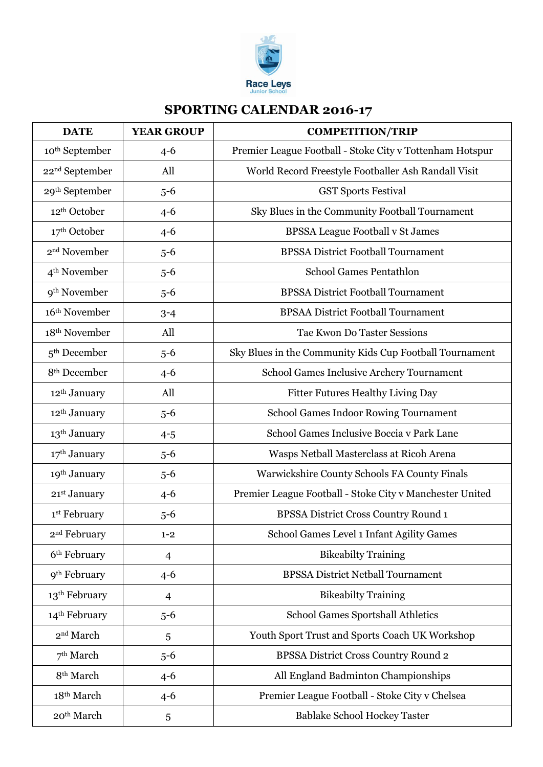

## **SPORTING CALENDAR 2016-17**

| <b>DATE</b>                | <b>YEAR GROUP</b> | <b>COMPETITION/TRIP</b>                                  |
|----------------------------|-------------------|----------------------------------------------------------|
| 10 <sup>th</sup> September | $4 - 6$           | Premier League Football - Stoke City v Tottenham Hotspur |
| 22 <sup>nd</sup> September | All               | World Record Freestyle Footballer Ash Randall Visit      |
| 29 <sup>th</sup> September | $5 - 6$           | <b>GST Sports Festival</b>                               |
| 12 <sup>th</sup> October   | $4 - 6$           | Sky Blues in the Community Football Tournament           |
| 17 <sup>th</sup> October   | $4 - 6$           | <b>BPSSA League Football v St James</b>                  |
| 2 <sup>nd</sup> November   | $5 - 6$           | <b>BPSSA District Football Tournament</b>                |
| $4th$ November             | $5 - 6$           | <b>School Games Pentathlon</b>                           |
| 9 <sup>th</sup> November   | $5 - 6$           | <b>BPSSA District Football Tournament</b>                |
| 16th November              | $3 - 4$           | <b>BPSAA District Football Tournament</b>                |
| 18 <sup>th</sup> November  | All               | <b>Tae Kwon Do Taster Sessions</b>                       |
| 5 <sup>th</sup> December   | $5 - 6$           | Sky Blues in the Community Kids Cup Football Tournament  |
| 8 <sup>th</sup> December   | $4 - 6$           | School Games Inclusive Archery Tournament                |
| 12 <sup>th</sup> January   | All               | Fitter Futures Healthy Living Day                        |
| 12 <sup>th</sup> January   | $5 - 6$           | <b>School Games Indoor Rowing Tournament</b>             |
| 13 <sup>th</sup> January   | $4 - 5$           | School Games Inclusive Boccia v Park Lane                |
| 17 <sup>th</sup> January   | $5-6$             | Wasps Netball Masterclass at Ricoh Arena                 |
| 19th January               | $5 - 6$           | Warwickshire County Schools FA County Finals             |
| 21st January               | $4 - 6$           | Premier League Football - Stoke City v Manchester United |
| 1st February               | $5-6$             | BPSSA District Cross Country Round 1                     |
| 2 <sup>nd</sup> February   | $1 - 2$           | School Games Level 1 Infant Agility Games                |
| 6 <sup>th</sup> February   | $\overline{4}$    | <b>Bikeabilty Training</b>                               |
| 9 <sup>th</sup> February   | $4 - 6$           | <b>BPSSA District Netball Tournament</b>                 |
| 13 <sup>th</sup> February  | $\overline{4}$    | <b>Bikeabilty Training</b>                               |
| 14 <sup>th</sup> February  | $5 - 6$           | School Games Sportshall Athletics                        |
| $2^{\rm nd}$ March         | 5                 | Youth Sport Trust and Sports Coach UK Workshop           |
| 7 <sup>th</sup> March      | $5 - 6$           | BPSSA District Cross Country Round 2                     |
| 8 <sup>th</sup> March      | $4 - 6$           | All England Badminton Championships                      |
| 18th March                 | $4 - 6$           | Premier League Football - Stoke City v Chelsea           |
| 20 <sup>th</sup> March     | 5                 | Bablake School Hockey Taster                             |